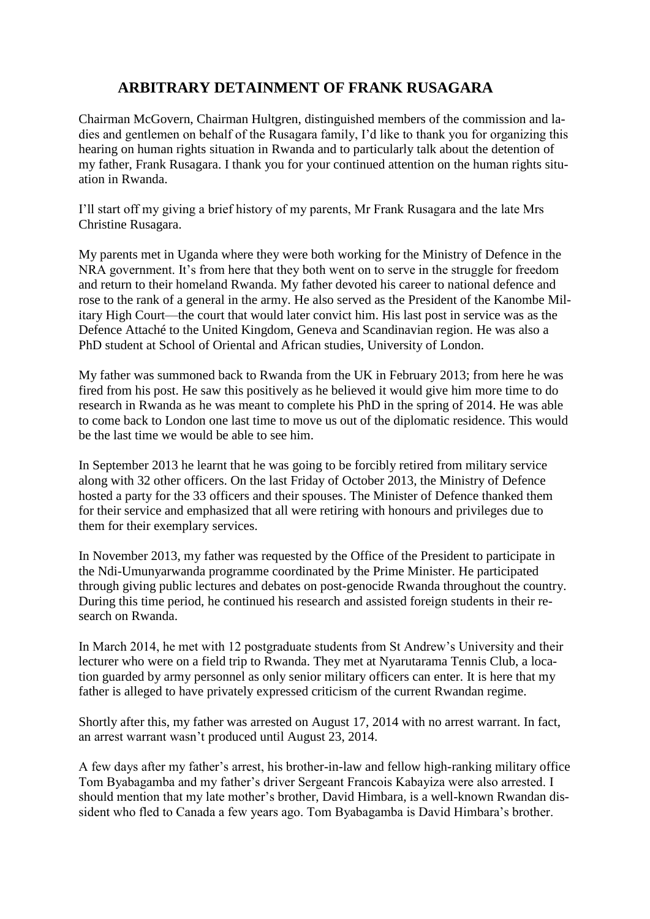## **ARBITRARY DETAINMENT OF FRANK RUSAGARA**

Chairman McGovern, Chairman Hultgren, distinguished members of the commission and ladies and gentlemen on behalf of the Rusagara family, I'd like to thank you for organizing this hearing on human rights situation in Rwanda and to particularly talk about the detention of my father, Frank Rusagara. I thank you for your continued attention on the human rights situation in Rwanda.

I'll start off my giving a brief history of my parents, Mr Frank Rusagara and the late Mrs Christine Rusagara.

My parents met in Uganda where they were both working for the Ministry of Defence in the NRA government. It's from here that they both went on to serve in the struggle for freedom and return to their homeland Rwanda. My father devoted his career to national defence and rose to the rank of a general in the army. He also served as the President of the Kanombe Military High Court—the court that would later convict him. His last post in service was as the Defence Attaché to the United Kingdom, Geneva and Scandinavian region. He was also a PhD student at School of Oriental and African studies, University of London.

My father was summoned back to Rwanda from the UK in February 2013; from here he was fired from his post. He saw this positively as he believed it would give him more time to do research in Rwanda as he was meant to complete his PhD in the spring of 2014. He was able to come back to London one last time to move us out of the diplomatic residence. This would be the last time we would be able to see him.

In September 2013 he learnt that he was going to be forcibly retired from military service along with 32 other officers. On the last Friday of October 2013, the Ministry of Defence hosted a party for the 33 officers and their spouses. The Minister of Defence thanked them for their service and emphasized that all were retiring with honours and privileges due to them for their exemplary services.

In November 2013, my father was requested by the Office of the President to participate in the Ndi-Umunyarwanda programme coordinated by the Prime Minister. He participated through giving public lectures and debates on post-genocide Rwanda throughout the country. During this time period, he continued his research and assisted foreign students in their research on Rwanda.

In March 2014, he met with 12 postgraduate students from St Andrew's University and their lecturer who were on a field trip to Rwanda. They met at Nyarutarama Tennis Club, a location guarded by army personnel as only senior military officers can enter. It is here that my father is alleged to have privately expressed criticism of the current Rwandan regime.

Shortly after this, my father was arrested on August 17, 2014 with no arrest warrant. In fact, an arrest warrant wasn't produced until August 23, 2014.

A few days after my father's arrest, his brother-in-law and fellow high-ranking military office Tom Byabagamba and my father's driver Sergeant Francois Kabayiza were also arrested. I should mention that my late mother's brother, David Himbara, is a well-known Rwandan dissident who fled to Canada a few years ago. Tom Byabagamba is David Himbara's brother.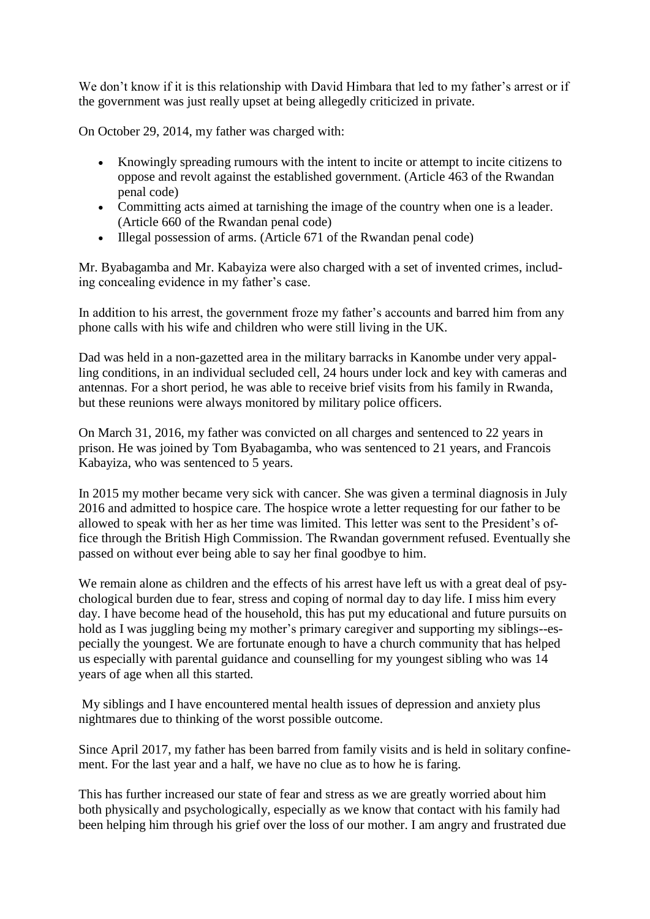We don't know if it is this relationship with David Himbara that led to my father's arrest or if the government was just really upset at being allegedly criticized in private.

On October 29, 2014, my father was charged with:

- Knowingly spreading rumours with the intent to incite or attempt to incite citizens to oppose and revolt against the established government. (Article 463 of the Rwandan penal code)
- Committing acts aimed at tarnishing the image of the country when one is a leader. (Article 660 of the Rwandan penal code)
- Illegal possession of arms. (Article 671 of the Rwandan penal code)

Mr. Byabagamba and Mr. Kabayiza were also charged with a set of invented crimes, including concealing evidence in my father's case.

In addition to his arrest, the government froze my father's accounts and barred him from any phone calls with his wife and children who were still living in the UK.

Dad was held in a non-gazetted area in the military barracks in Kanombe under very appalling conditions, in an individual secluded cell, 24 hours under lock and key with cameras and antennas. For a short period, he was able to receive brief visits from his family in Rwanda, but these reunions were always monitored by military police officers.

On March 31, 2016, my father was convicted on all charges and sentenced to 22 years in prison. He was joined by Tom Byabagamba, who was sentenced to 21 years, and Francois Kabayiza, who was sentenced to 5 years.

In 2015 my mother became very sick with cancer. She was given a terminal diagnosis in July 2016 and admitted to hospice care. The hospice wrote a letter requesting for our father to be allowed to speak with her as her time was limited. This letter was sent to the President's office through the British High Commission. The Rwandan government refused. Eventually she passed on without ever being able to say her final goodbye to him.

We remain alone as children and the effects of his arrest have left us with a great deal of psychological burden due to fear, stress and coping of normal day to day life. I miss him every day. I have become head of the household, this has put my educational and future pursuits on hold as I was juggling being my mother's primary caregiver and supporting my siblings--especially the youngest. We are fortunate enough to have a church community that has helped us especially with parental guidance and counselling for my youngest sibling who was 14 years of age when all this started.

My siblings and I have encountered mental health issues of depression and anxiety plus nightmares due to thinking of the worst possible outcome.

Since April 2017, my father has been barred from family visits and is held in solitary confinement. For the last year and a half, we have no clue as to how he is faring.

This has further increased our state of fear and stress as we are greatly worried about him both physically and psychologically, especially as we know that contact with his family had been helping him through his grief over the loss of our mother. I am angry and frustrated due